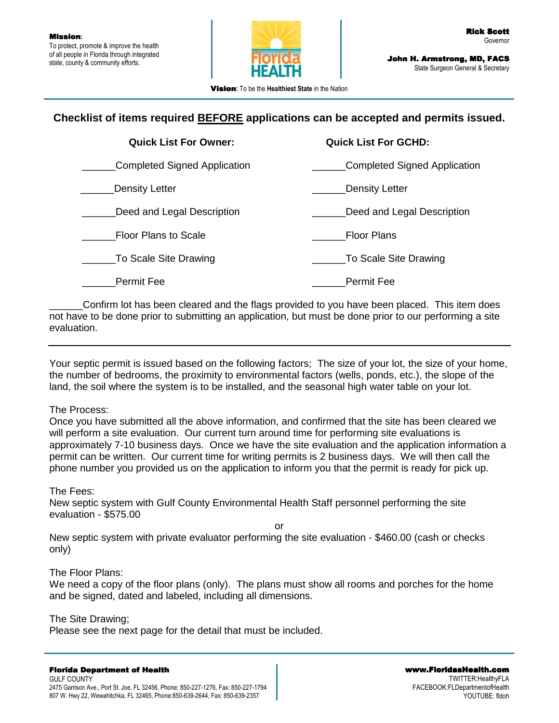

Vision**:** To be the **Healthiest State** in the Nation

# **Checklist of items required BEFORE applications can be accepted and permits issued.**

| <b>Quick List For Owner:</b> | <b>Quick List For GCHD:</b>  |
|------------------------------|------------------------------|
| Completed Signed Application | Completed Signed Application |
| Density Letter               | Density Letter               |
| Deed and Legal Description   | Deed and Legal Description   |
| <b>Floor Plans to Scale</b>  | <b>Floor Plans</b>           |
| To Scale Site Drawing        | To Scale Site Drawing        |
| <b>Permit Fee</b>            | <b>Permit Fee</b>            |

\_\_\_\_\_\_Confirm lot has been cleared and the flags provided to you have been placed. This item does not have to be done prior to submitting an application, but must be done prior to our performing a site evaluation.

Your septic permit is issued based on the following factors; The size of your lot, the size of your home, the number of bedrooms, the proximity to environmental factors (wells, ponds, etc.), the slope of the land, the soil where the system is to be installed, and the seasonal high water table on your lot.

## The Process:

Once you have submitted all the above information, and confirmed that the site has been cleared we will perform a site evaluation. Our current turn around time for performing site evaluations is approximately 7-10 business days. Once we have the site evaluation and the application information a permit can be written. Our current time for writing permits is 2 business days. We will then call the phone number you provided us on the application to inform you that the permit is ready for pick up.

The Fees:

New septic system with Gulf County Environmental Health Staff personnel performing the site evaluation - \$575.00

or

New septic system with private evaluator performing the site evaluation - \$460.00 (cash or checks only)

## The Floor Plans:

We need a copy of the floor plans (only). The plans must show all rooms and porches for the home and be signed, dated and labeled, including all dimensions.

## The Site Drawing;

Please see the next page for the detail that must be included.